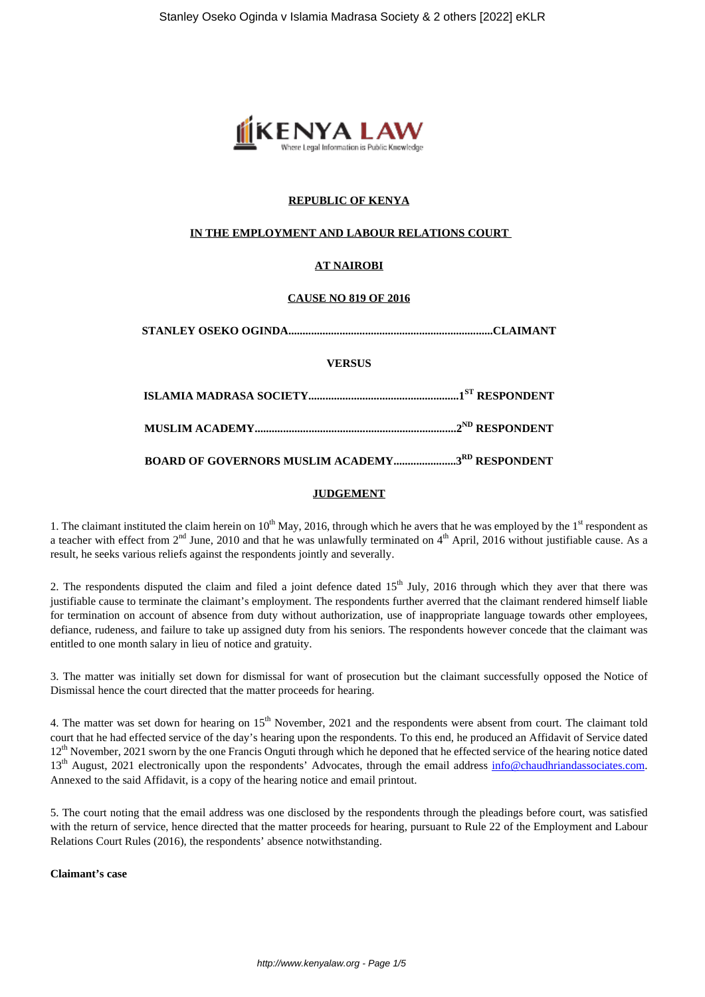

# **REPUBLIC OF KENYA**

## **IN THE EMPLOYMENT AND LABOUR RELATIONS COURT**

# **AT NAIROBI**

## **CAUSE NO 819 OF 2016**

| <b>VERSUS</b>                                          |  |
|--------------------------------------------------------|--|
|                                                        |  |
|                                                        |  |
| <b>BOARD OF GOVERNORS MUSLIM ACADEMY3RD RESPONDENT</b> |  |

## **JUDGEMENT**

1. The claimant instituted the claim herein on  $10^{th}$  May, 2016, through which he avers that he was employed by the  $1<sup>st</sup>$  respondent as a teacher with effect from  $2<sup>nd</sup>$  June, 2010 and that he was unlawfully terminated on  $4<sup>th</sup>$  April, 2016 without justifiable cause. As a result, he seeks various reliefs against the respondents jointly and severally.

2. The respondents disputed the claim and filed a joint defence dated  $15<sup>th</sup>$  July, 2016 through which they aver that there was justifiable cause to terminate the claimant's employment. The respondents further averred that the claimant rendered himself liable for termination on account of absence from duty without authorization, use of inappropriate language towards other employees, defiance, rudeness, and failure to take up assigned duty from his seniors. The respondents however concede that the claimant was entitled to one month salary in lieu of notice and gratuity.

3. The matter was initially set down for dismissal for want of prosecution but the claimant successfully opposed the Notice of Dismissal hence the court directed that the matter proceeds for hearing.

4. The matter was set down for hearing on  $15<sup>th</sup>$  November, 2021 and the respondents were absent from court. The claimant told court that he had effected service of the day's hearing upon the respondents. To this end, he produced an Affidavit of Service dated 12<sup>th</sup> November, 2021 sworn by the one Francis Onguti through which he deponed that he effected service of the hearing notice dated 13<sup>th</sup> August, 2021 electronically upon the respondents' Advocates, through the email address info@chaudhriandassociates.com. Annexed to the said Affidavit, is a copy of the hearing notice and email printout.

5. The court noting that the email address was one disclosed by the respondents through the pleadings before court, was satisfied with the return of service, hence directed that the matter proceeds for hearing, pursuant to Rule 22 of the Employment and Labour Relations Court Rules (2016), the respondents' absence notwithstanding.

**Claimant's case**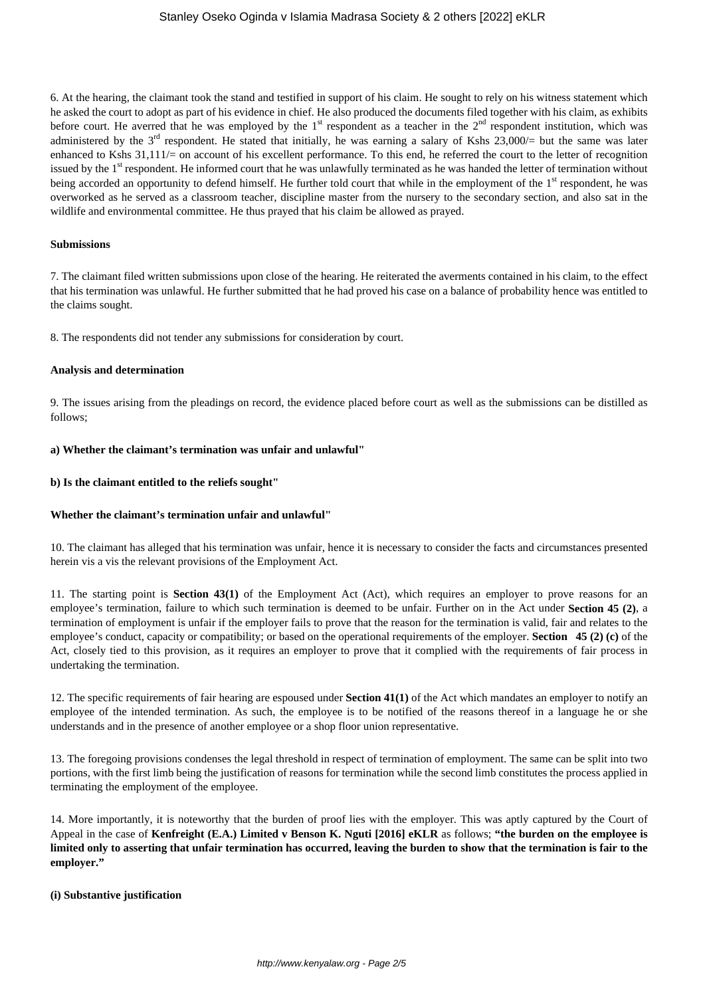6. At the hearing, the claimant took the stand and testified in support of his claim. He sought to rely on his witness statement which he asked the court to adopt as part of his evidence in chief. He also produced the documents filed together with his claim, as exhibits before court. He averred that he was employed by the  $1<sup>st</sup>$  respondent as a teacher in the  $2<sup>nd</sup>$  respondent institution, which was administered by the  $3^{rd}$  respondent. He stated that initially, he was earning a salary of Kshs 23,000/= but the same was later enhanced to Kshs  $31,111/=$  on account of his excellent performance. To this end, he referred the court to the letter of recognition issued by the 1<sup>st</sup> respondent. He informed court that he was unlawfully terminated as he was handed the letter of termination without being accorded an opportunity to defend himself. He further told court that while in the employment of the 1<sup>st</sup> respondent, he was overworked as he served as a classroom teacher, discipline master from the nursery to the secondary section, and also sat in the wildlife and environmental committee. He thus prayed that his claim be allowed as prayed.

## **Submissions**

7. The claimant filed written submissions upon close of the hearing. He reiterated the averments contained in his claim, to the effect that his termination was unlawful. He further submitted that he had proved his case on a balance of probability hence was entitled to the claims sought.

8. The respondents did not tender any submissions for consideration by court.

### **Analysis and determination**

9. The issues arising from the pleadings on record, the evidence placed before court as well as the submissions can be distilled as follows;

### **a) Whether the claimant's termination was unfair and unlawful"**

### **b) Is the claimant entitled to the reliefs sought"**

## **Whether the claimant's termination unfair and unlawful"**

10. The claimant has alleged that his termination was unfair, hence it is necessary to consider the facts and circumstances presented herein vis a vis the relevant provisions of the Employment Act.

11. The starting point is **Section 43(1)** of the Employment Act (Act), which requires an employer to prove reasons for an employee's termination, failure to which such termination is deemed to be unfair. Further on in the Act under **Section 45 (2)**, a termination of employment is unfair if the employer fails to prove that the reason for the termination is valid, fair and relates to the employee's conduct, capacity or compatibility; or based on the operational requirements of the employer. **Section 45 (2) (c)** of the Act, closely tied to this provision, as it requires an employer to prove that it complied with the requirements of fair process in undertaking the termination.

12. The specific requirements of fair hearing are espoused under **Section 41(1)** of the Act which mandates an employer to notify an employee of the intended termination. As such, the employee is to be notified of the reasons thereof in a language he or she understands and in the presence of another employee or a shop floor union representative.

13. The foregoing provisions condenses the legal threshold in respect of termination of employment. The same can be split into two portions, with the first limb being the justification of reasons for termination while the second limb constitutes the process applied in terminating the employment of the employee.

14. More importantly, it is noteworthy that the burden of proof lies with the employer. This was aptly captured by the Court of Appeal in the case of **Kenfreight (E.A.) Limited v Benson K. Nguti [2016] eKLR** as follows; **"the burden on the employee is limited only to asserting that unfair termination has occurred, leaving the burden to show that the termination is fair to the employer."**

#### **(i) Substantive justification**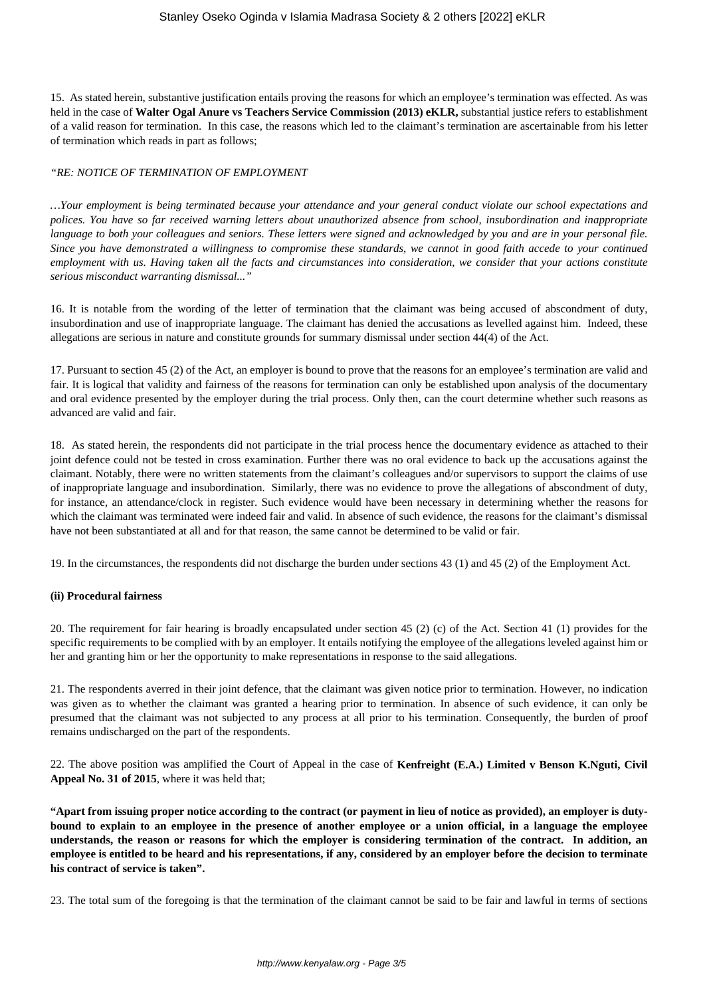15. As stated herein, substantive justification entails proving the reasons for which an employee's termination was effected. As was held in the case of **Walter Ogal Anure vs Teachers Service Commission (2013) eKLR,** substantial justice refers to establishment of a valid reason for termination. In this case, the reasons which led to the claimant's termination are ascertainable from his letter of termination which reads in part as follows;

### *"RE: NOTICE OF TERMINATION OF EMPLOYMENT*

*…Your employment is being terminated because your attendance and your general conduct violate our school expectations and polices. You have so far received warning letters about unauthorized absence from school, insubordination and inappropriate language to both your colleagues and seniors. These letters were signed and acknowledged by you and are in your personal file. Since you have demonstrated a willingness to compromise these standards, we cannot in good faith accede to your continued employment with us. Having taken all the facts and circumstances into consideration, we consider that your actions constitute serious misconduct warranting dismissal..."*

16. It is notable from the wording of the letter of termination that the claimant was being accused of abscondment of duty, insubordination and use of inappropriate language. The claimant has denied the accusations as levelled against him. Indeed, these allegations are serious in nature and constitute grounds for summary dismissal under section 44(4) of the Act.

17. Pursuant to section 45 (2) of the Act, an employer is bound to prove that the reasons for an employee's termination are valid and fair. It is logical that validity and fairness of the reasons for termination can only be established upon analysis of the documentary and oral evidence presented by the employer during the trial process. Only then, can the court determine whether such reasons as advanced are valid and fair.

18. As stated herein, the respondents did not participate in the trial process hence the documentary evidence as attached to their joint defence could not be tested in cross examination. Further there was no oral evidence to back up the accusations against the claimant. Notably, there were no written statements from the claimant's colleagues and/or supervisors to support the claims of use of inappropriate language and insubordination. Similarly, there was no evidence to prove the allegations of abscondment of duty, for instance, an attendance/clock in register. Such evidence would have been necessary in determining whether the reasons for which the claimant was terminated were indeed fair and valid. In absence of such evidence, the reasons for the claimant's dismissal have not been substantiated at all and for that reason, the same cannot be determined to be valid or fair.

19. In the circumstances, the respondents did not discharge the burden under sections 43 (1) and 45 (2) of the Employment Act.

#### **(ii) Procedural fairness**

20. The requirement for fair hearing is broadly encapsulated under section 45 (2) (c) of the Act. Section 41 (1) provides for the specific requirements to be complied with by an employer. It entails notifying the employee of the allegations leveled against him or her and granting him or her the opportunity to make representations in response to the said allegations.

21. The respondents averred in their joint defence, that the claimant was given notice prior to termination. However, no indication was given as to whether the claimant was granted a hearing prior to termination. In absence of such evidence, it can only be presumed that the claimant was not subjected to any process at all prior to his termination. Consequently, the burden of proof remains undischarged on the part of the respondents.

22. The above position was amplified the Court of Appeal in the case of **Kenfreight (E.A.) Limited v Benson K.Nguti, Civil Appeal No. 31 of 2015**, where it was held that;

**"Apart from issuing proper notice according to the contract (or payment in lieu of notice as provided), an employer is dutybound to explain to an employee in the presence of another employee or a union official, in a language the employee understands, the reason or reasons for which the employer is considering termination of the contract. In addition, an employee is entitled to be heard and his representations, if any, considered by an employer before the decision to terminate his contract of service is taken".**

23. The total sum of the foregoing is that the termination of the claimant cannot be said to be fair and lawful in terms of sections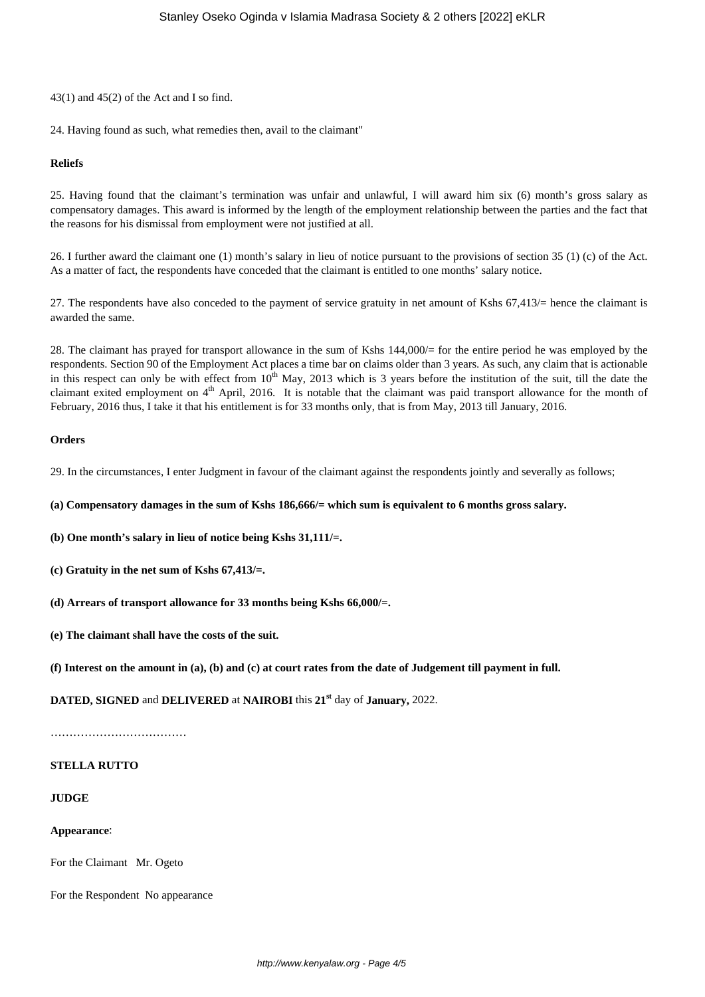$43(1)$  and  $45(2)$  of the Act and I so find.

24. Having found as such, what remedies then, avail to the claimant"

## **Reliefs**

25. Having found that the claimant's termination was unfair and unlawful, I will award him six (6) month's gross salary as compensatory damages. This award is informed by the length of the employment relationship between the parties and the fact that the reasons for his dismissal from employment were not justified at all.

26. I further award the claimant one (1) month's salary in lieu of notice pursuant to the provisions of section 35 (1) (c) of the Act. As a matter of fact, the respondents have conceded that the claimant is entitled to one months' salary notice.

27. The respondents have also conceded to the payment of service gratuity in net amount of Kshs 67,413/= hence the claimant is awarded the same.

28. The claimant has prayed for transport allowance in the sum of Kshs 144,000/= for the entire period he was employed by the respondents. Section 90 of the Employment Act places a time bar on claims older than 3 years. As such, any claim that is actionable in this respect can only be with effect from  $10<sup>th</sup>$  May, 2013 which is 3 years before the institution of the suit, till the date the claimant exited employment on 4<sup>th</sup> April, 2016. It is notable that the claimant was paid transport allowance for the month of February, 2016 thus, I take it that his entitlement is for 33 months only, that is from May, 2013 till January, 2016.

## **Orders**

29. In the circumstances, I enter Judgment in favour of the claimant against the respondents jointly and severally as follows;

**(a) Compensatory damages in the sum of Kshs 186,666/= which sum is equivalent to 6 months gross salary.**

**(b) One month's salary in lieu of notice being Kshs 31,111/=.**

- **(c) Gratuity in the net sum of Kshs 67,413/=.**
- **(d) Arrears of transport allowance for 33 months being Kshs 66,000/=.**
- **(e) The claimant shall have the costs of the suit.**

**(f) Interest on the amount in (a), (b) and (c) at court rates from the date of Judgement till payment in full.**

**DATED, SIGNED** and **DELIVERED** at **NAIROBI** this **21st** day of **January,** 2022.

………………………………………

#### **STELLA RUTTO**

### **JUDGE**

#### **Appearance**:

For the Claimant Mr. Ogeto

For the Respondent No appearance